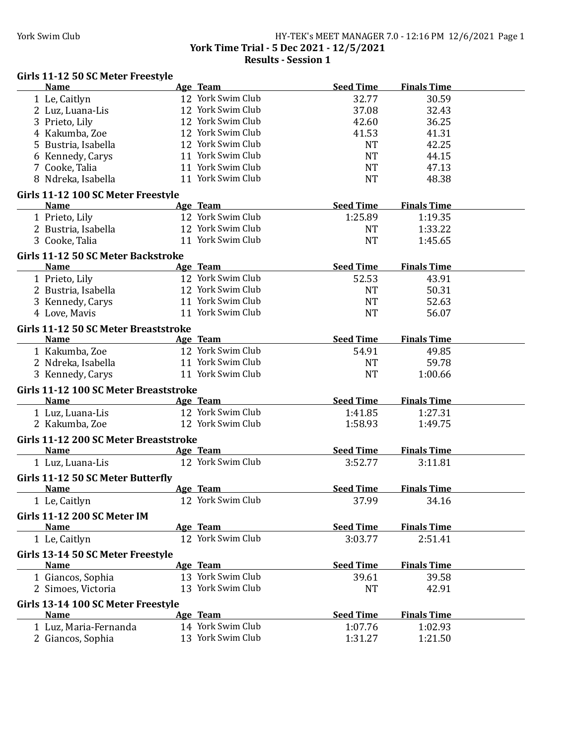#### York Swim Club HY-TEK's MEET MANAGER 7.0 - 12:16 PM 12/6/2021 Page 1 **York Time Trial - 5 Dec 2021 - 12/5/2021 Results - Session 1**

## Girls 11-12 50 SC Meter Freestyle

| <b>Name</b>                           | Age Team                      | <b>Seed Time</b> | <b>Finals Time</b> |  |
|---------------------------------------|-------------------------------|------------------|--------------------|--|
| 1 Le, Caitlyn                         | 12 York Swim Club             | 32.77            | 30.59              |  |
| 2 Luz, Luana-Lis                      | 12 York Swim Club             | 37.08            | 32.43              |  |
| 3 Prieto, Lily                        | 12 York Swim Club             | 42.60            | 36.25              |  |
| 4 Kakumba, Zoe                        | 12 York Swim Club             | 41.53            | 41.31              |  |
| 5 Bustria, Isabella                   | 12 York Swim Club             | <b>NT</b>        | 42.25              |  |
| 6 Kennedy, Carys                      | 11 York Swim Club             | <b>NT</b>        | 44.15              |  |
| 7 Cooke, Talia                        | 11 York Swim Club             | <b>NT</b>        | 47.13              |  |
| 8 Ndreka, Isabella                    | 11 York Swim Club             | <b>NT</b>        | 48.38              |  |
|                                       |                               |                  |                    |  |
| Girls 11-12 100 SC Meter Freestyle    |                               | <b>Seed Time</b> | <b>Finals Time</b> |  |
| <b>Name</b>                           | Age Team<br>12 York Swim Club |                  |                    |  |
| 1 Prieto, Lily                        | 12 York Swim Club             | 1:25.89          | 1:19.35            |  |
| 2 Bustria, Isabella                   |                               | <b>NT</b>        | 1:33.22            |  |
| 3 Cooke, Talia                        | 11 York Swim Club             | <b>NT</b>        | 1:45.65            |  |
| Girls 11-12 50 SC Meter Backstroke    |                               |                  |                    |  |
| <b>Name</b>                           | Age Team                      | <b>Seed Time</b> | <b>Finals Time</b> |  |
| 1 Prieto, Lily                        | 12 York Swim Club             | 52.53            | 43.91              |  |
| 2 Bustria, Isabella                   | 12 York Swim Club             | <b>NT</b>        | 50.31              |  |
| 3 Kennedy, Carys                      | 11 York Swim Club             | <b>NT</b>        | 52.63              |  |
| 4 Love, Mavis                         | 11 York Swim Club             | <b>NT</b>        | 56.07              |  |
| Girls 11-12 50 SC Meter Breaststroke  |                               |                  |                    |  |
| <b>Name</b>                           | Age Team                      | <b>Seed Time</b> | <b>Finals Time</b> |  |
| 1 Kakumba, Zoe                        | 12 York Swim Club             | 54.91            | 49.85              |  |
| 2 Ndreka, Isabella                    | 11 York Swim Club             | <b>NT</b>        | 59.78              |  |
| 3 Kennedy, Carys                      | 11 York Swim Club             | <b>NT</b>        | 1:00.66            |  |
|                                       |                               |                  |                    |  |
| Girls 11-12 100 SC Meter Breaststroke |                               |                  |                    |  |
| <b>Name</b>                           | Age Team                      | <b>Seed Time</b> | <b>Finals Time</b> |  |
| 1 Luz, Luana-Lis                      | 12 York Swim Club             | 1:41.85          | 1:27.31            |  |
| 2 Kakumba, Zoe                        | 12 York Swim Club             | 1:58.93          | 1:49.75            |  |
| Girls 11-12 200 SC Meter Breaststroke |                               |                  |                    |  |
| <b>Name</b>                           | Age Team                      | <b>Seed Time</b> | <b>Finals Time</b> |  |
| 1 Luz, Luana-Lis                      | 12 York Swim Club             | 3:52.77          | 3:11.81            |  |
| Girls 11-12 50 SC Meter Butterfly     |                               |                  |                    |  |
| <b>Name</b>                           | Age Team                      | <b>Seed Time</b> | <b>Finals Time</b> |  |
| 1 Le, Caitlyn                         | 12 York Swim Club             | 37.99            | 34.16              |  |
|                                       |                               |                  |                    |  |
| <b>Girls 11-12 200 SC Meter IM</b>    |                               |                  |                    |  |
| <b>Name</b>                           | Age Team                      | <b>Seed Time</b> | <b>Finals Time</b> |  |
| 1 Le, Caitlyn                         | 12 York Swim Club             | 3:03.77          | 2:51.41            |  |
| Girls 13-14 50 SC Meter Freestyle     |                               |                  |                    |  |
| <b>Name</b>                           | Age Team                      | <b>Seed Time</b> | <b>Finals Time</b> |  |
| 1 Giancos, Sophia                     | 13 York Swim Club             | 39.61            | 39.58              |  |
| 2 Simoes, Victoria                    | 13 York Swim Club             | <b>NT</b>        | 42.91              |  |
| Girls 13-14 100 SC Meter Freestyle    |                               |                  |                    |  |
| <b>Name</b>                           | Age Team                      | <b>Seed Time</b> | <b>Finals Time</b> |  |
| 1 Luz, Maria-Fernanda                 | 14 York Swim Club             | 1:07.76          | 1:02.93            |  |
| 2 Giancos, Sophia                     | 13 York Swim Club             | 1:31.27          | 1:21.50            |  |
|                                       |                               |                  |                    |  |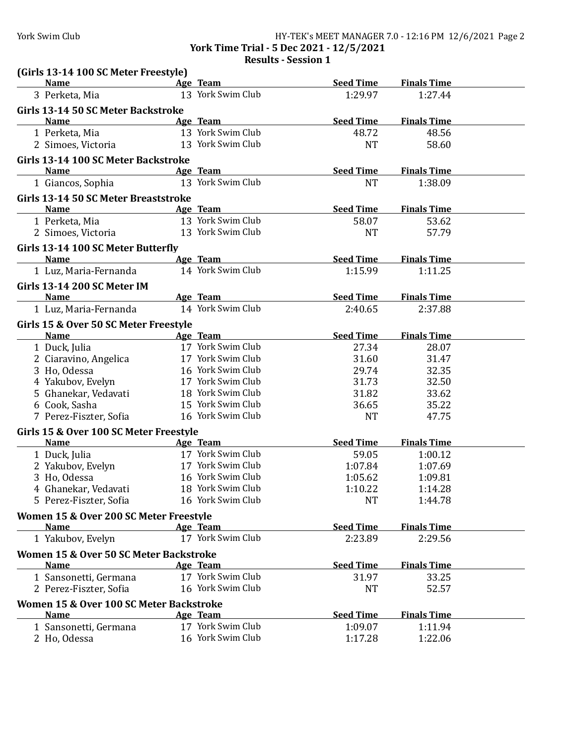# York Swim Club HY-TEK's MEET MANAGER 7.0 - 12:16 PM 12/6/2021 Page 2

**York Time Trial - 5 Dec 2021 - 12/5/2021 Results - Session 1**

| (Girls 13-14 100 SC Meter Freestyle)<br><b>Name</b><br><b>Example 2</b> Age Team |                   | <b>Seed Time</b> | <b>Finals Time</b> |  |
|----------------------------------------------------------------------------------|-------------------|------------------|--------------------|--|
| 3 Perketa, Mia                                                                   | 13 York Swim Club | 1:29.97          | 1:27.44            |  |
| Girls 13-14 50 SC Meter Backstroke                                               |                   |                  |                    |  |
| <b>Name</b>                                                                      | Age Team          | <b>Seed Time</b> | <b>Finals Time</b> |  |
| 1 Perketa, Mia                                                                   | 13 York Swim Club | 48.72            | 48.56              |  |
| 2 Simoes, Victoria                                                               | 13 York Swim Club | <b>NT</b>        | 58.60              |  |
| Girls 13-14 100 SC Meter Backstroke                                              |                   |                  |                    |  |
| <b>Name</b>                                                                      | Age Team          | <b>Seed Time</b> | <b>Finals Time</b> |  |
| 1 Giancos, Sophia                                                                | 13 York Swim Club | <b>NT</b>        | 1:38.09            |  |
|                                                                                  |                   |                  |                    |  |
| Girls 13-14 50 SC Meter Breaststroke                                             |                   |                  |                    |  |
| <b>Name</b>                                                                      | Age Team          | <b>Seed Time</b> | <b>Finals Time</b> |  |
| 1 Perketa, Mia                                                                   | 13 York Swim Club | 58.07            | 53.62              |  |
| 2 Simoes, Victoria                                                               | 13 York Swim Club | <b>NT</b>        | 57.79              |  |
| Girls 13-14 100 SC Meter Butterfly                                               |                   |                  |                    |  |
| <b>Name</b>                                                                      | Age Team          | <b>Seed Time</b> | <b>Finals Time</b> |  |
| 1 Luz, Maria-Fernanda                                                            | 14 York Swim Club | 1:15.99          | 1:11.25            |  |
| <b>Girls 13-14 200 SC Meter IM</b>                                               |                   |                  |                    |  |
| <b>Name</b>                                                                      | Age Team          | <b>Seed Time</b> | <b>Finals Time</b> |  |
| 1 Luz, Maria-Fernanda                                                            | 14 York Swim Club | 2:40.65          | 2:37.88            |  |
|                                                                                  |                   |                  |                    |  |
| Girls 15 & Over 50 SC Meter Freestyle                                            |                   |                  |                    |  |
| <b>Name</b>                                                                      | Age Team          | <b>Seed Time</b> | <b>Finals Time</b> |  |
| 1 Duck, Julia                                                                    | 17 York Swim Club | 27.34            | 28.07              |  |
| 2 Ciaravino, Angelica                                                            | 17 York Swim Club | 31.60            | 31.47              |  |
| 3 Ho, Odessa                                                                     | 16 York Swim Club | 29.74            | 32.35              |  |
| 4 Yakubov, Evelyn                                                                | 17 York Swim Club | 31.73            | 32.50              |  |
| 5 Ghanekar, Vedavati                                                             | 18 York Swim Club | 31.82            | 33.62              |  |
| 6 Cook, Sasha                                                                    | 15 York Swim Club | 36.65            | 35.22              |  |
| 7 Perez-Fiszter, Sofia                                                           | 16 York Swim Club | <b>NT</b>        | 47.75              |  |
| Girls 15 & Over 100 SC Meter Freestyle                                           |                   |                  |                    |  |
| <b>Name</b>                                                                      | Age Team          | <b>Seed Time</b> | <b>Finals Time</b> |  |
| 1 Duck, Julia                                                                    | 17 York Swim Club | 59.05            | 1:00.12            |  |
| 2 Yakubov, Evelyn                                                                | 17 York Swim Club | 1:07.84          | 1:07.69            |  |
| 3 Ho, Odessa                                                                     | 16 York Swim Club | 1:05.62          | 1:09.81            |  |
| 4 Ghanekar, Vedavati                                                             | 18 York Swim Club | 1:10.22          | 1:14.28            |  |
| 5 Perez-Fiszter, Sofia                                                           | 16 York Swim Club | <b>NT</b>        | 1:44.78            |  |
| Women 15 & Over 200 SC Meter Freestyle                                           |                   |                  |                    |  |
| <b>Name</b>                                                                      | Age Team          | <b>Seed Time</b> | <b>Finals Time</b> |  |
| 1 Yakubov, Evelyn                                                                | 17 York Swim Club | 2:23.89          | 2:29.56            |  |
|                                                                                  |                   |                  |                    |  |
| Women 15 & Over 50 SC Meter Backstroke                                           |                   |                  |                    |  |
| <b>Name</b>                                                                      | Age Team          | <b>Seed Time</b> | <b>Finals Time</b> |  |
| 1 Sansonetti, Germana                                                            | 17 York Swim Club | 31.97            | 33.25              |  |
| 2 Perez-Fiszter, Sofia                                                           | 16 York Swim Club | <b>NT</b>        | 52.57              |  |
| Women 15 & Over 100 SC Meter Backstroke                                          |                   |                  |                    |  |
| <b>Name</b>                                                                      | Age Team          | <b>Seed Time</b> | <b>Finals Time</b> |  |
| 1 Sansonetti, Germana                                                            | 17 York Swim Club | 1:09.07          | 1:11.94            |  |
| 2 Ho, Odessa                                                                     | 16 York Swim Club | 1:17.28          | 1:22.06            |  |
|                                                                                  |                   |                  |                    |  |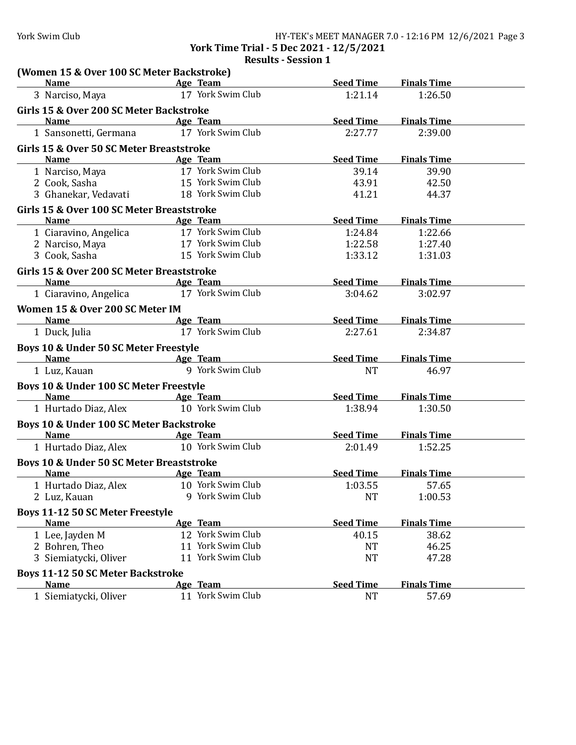**York Time Trial - 5 Dec 2021 - 12/5/2021**

**Results - Session 1**

| (Women 15 & Over 100 SC Meter Backstroke)<br><b>Name</b><br><b>Example 2</b> Age Team |                                                | Seed Time                   | <b>Finals Time</b> |  |
|---------------------------------------------------------------------------------------|------------------------------------------------|-----------------------------|--------------------|--|
| 3 Narciso, Maya                                                                       | 17 York Swim Club                              | 1:21.14                     | 1:26.50            |  |
| Girls 15 & Over 200 SC Meter Backstroke                                               |                                                |                             |                    |  |
| Name                                                                                  | Age Team                                       | <b>Seed Time</b>            | <b>Finals Time</b> |  |
| 1 Sansonetti, Germana                                                                 | 17 York Swim Club                              | 2:27.77                     | 2:39.00            |  |
|                                                                                       |                                                |                             |                    |  |
| Girls 15 & Over 50 SC Meter Breaststroke                                              |                                                |                             |                    |  |
| <b>Name</b>                                                                           | Age Team                                       | Seed Time                   | <b>Finals Time</b> |  |
| 1 Narciso, Maya                                                                       | 17 York Swim Club<br>15 York Swim Club         | 39.14                       | 39.90              |  |
| 2 Cook, Sasha                                                                         | 18 York Swim Club                              | 43.91<br>41.21              | 42.50<br>44.37     |  |
| 3 Ghanekar, Vedavati                                                                  |                                                |                             |                    |  |
| Girls 15 & Over 100 SC Meter Breaststroke                                             |                                                |                             |                    |  |
| <b>Name</b>                                                                           | Age Team                                       | <b>Seed Time</b>            | <b>Finals Time</b> |  |
| 1 Ciaravino, Angelica                                                                 | 17 York Swim Club                              | 1:24.84                     | 1:22.66            |  |
| 2 Narciso, Maya                                                                       | 17 York Swim Club                              | 1:22.58                     | 1:27.40            |  |
| 3 Cook, Sasha                                                                         | 15 York Swim Club                              | 1:33.12                     | 1:31.03            |  |
| Girls 15 & Over 200 SC Meter Breaststroke                                             |                                                |                             |                    |  |
| <b>Example 2</b> Age Team<br><b>Name</b>                                              |                                                | Seed Time                   | <b>Finals Time</b> |  |
| 1 Ciaravino, Angelica                                                                 | 17 York Swim Club                              | 3:04.62                     | 3:02.97            |  |
| Women 15 & Over 200 SC Meter IM                                                       |                                                |                             |                    |  |
| <b>Name</b>                                                                           | <b>Example 2</b> Age Team                      | <b>Seed Time</b>            | <b>Finals Time</b> |  |
| 1 Duck, Julia                                                                         | 17 York Swim Club                              | 2:27.61                     | 2:34.87            |  |
| Boys 10 & Under 50 SC Meter Freestyle                                                 |                                                |                             |                    |  |
| Name Age Team                                                                         |                                                | <b>Seed Time</b>            | <b>Finals Time</b> |  |
| 1 Luz, Kauan                                                                          | 9 York Swim Club                               | <b>NT</b>                   | 46.97              |  |
|                                                                                       |                                                |                             |                    |  |
| Boys 10 & Under 100 SC Meter Freestyle                                                |                                                |                             |                    |  |
| <b>Name</b>                                                                           | <b>Example 2</b> Age Team<br>10 York Swim Club | <b>Seed Time</b><br>1:38.94 | <b>Finals Time</b> |  |
| 1 Hurtado Diaz, Alex                                                                  |                                                |                             | 1:30.50            |  |
| Boys 10 & Under 100 SC Meter Backstroke                                               |                                                |                             |                    |  |
| <b>Name</b>                                                                           | Age Team                                       | <b>Seed Time</b>            | <b>Finals Time</b> |  |
| 1 Hurtado Diaz, Alex                                                                  | 10 York Swim Club                              | 2:01.49                     | 1:52.25            |  |
| <b>Boys 10 &amp; Under 50 SC Meter Breaststroke</b>                                   |                                                |                             |                    |  |
| <b>Name</b>                                                                           | <b>Example 2</b> Age Team                      | Seed Time                   | <b>Finals Time</b> |  |
| 1 Hurtado Diaz, Alex 10 York Swim Club                                                |                                                | 1:03.55                     | 57.65              |  |
| 2 Luz, Kauan                                                                          | 9 York Swim Club                               | <b>NT</b>                   | 1:00.53            |  |
| <b>Boys 11-12 50 SC Meter Freestyle</b>                                               |                                                |                             |                    |  |
| <b>Name</b>                                                                           | Age Team                                       | <b>Seed Time</b>            | <b>Finals Time</b> |  |
| 1 Lee, Jayden M                                                                       | 12 York Swim Club                              | 40.15                       | 38.62              |  |
| 2 Bohren, Theo                                                                        | 11 York Swim Club                              | <b>NT</b>                   | 46.25              |  |
| 3 Siemiatycki, Oliver                                                                 | 11 York Swim Club                              | NT                          | 47.28              |  |
| <b>Boys 11-12 50 SC Meter Backstroke</b>                                              |                                                |                             |                    |  |
| <b>Name</b>                                                                           | Age Team                                       | <b>Seed Time</b>            | <b>Finals Time</b> |  |
| 1 Siemiatycki, Oliver                                                                 | 11 York Swim Club                              | <b>NT</b>                   | 57.69              |  |
|                                                                                       |                                                |                             |                    |  |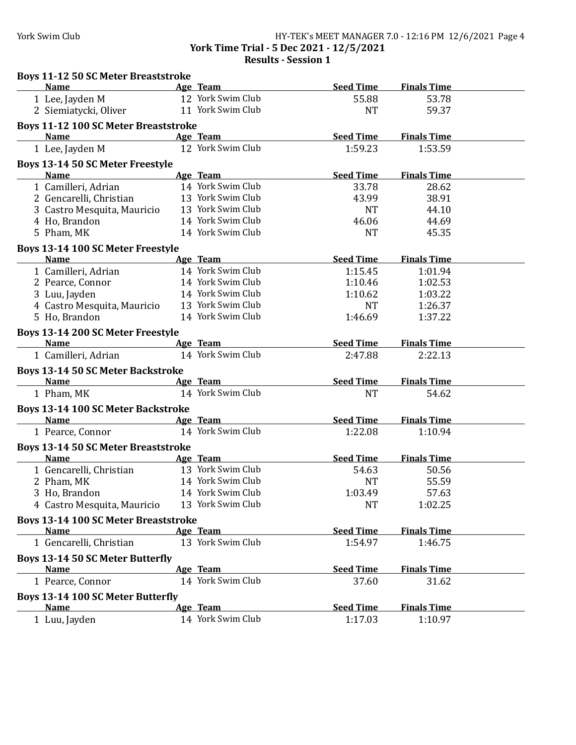### York Swim Club HY-TEK's MEET MANAGER 7.0 - 12:16 PM 12/6/2021 Page 4 **York Time Trial - 5 Dec 2021 - 12/5/2021 Results - Session 1**

| <b>Boys 11-12 50 SC Meter Breaststroke</b>  |                               |                  |                    |  |
|---------------------------------------------|-------------------------------|------------------|--------------------|--|
| <b>Name</b>                                 | Age Team                      | <b>Seed Time</b> | <b>Finals Time</b> |  |
| 1 Lee, Jayden M                             | 12 York Swim Club             | 55.88            | 53.78              |  |
| 2 Siemiatycki, Oliver                       | 11 York Swim Club             | <b>NT</b>        | 59.37              |  |
| <b>Boys 11-12 100 SC Meter Breaststroke</b> |                               |                  |                    |  |
| <b>Name</b>                                 | Age Team                      | <b>Seed Time</b> | <b>Finals Time</b> |  |
| 1 Lee, Jayden M                             | 12 York Swim Club             | 1:59.23          | 1:53.59            |  |
| <b>Boys 13-14 50 SC Meter Freestyle</b>     |                               |                  |                    |  |
| <b>Name</b>                                 | Age Team                      | <b>Seed Time</b> | <b>Finals Time</b> |  |
| 1 Camilleri, Adrian                         | 14 York Swim Club             | 33.78            | 28.62              |  |
| 2 Gencarelli, Christian                     | 13 York Swim Club             | 43.99            | 38.91              |  |
| 3 Castro Mesquita, Mauricio                 | 13 York Swim Club             | <b>NT</b>        | 44.10              |  |
| 4 Ho, Brandon                               | 14 York Swim Club             | 46.06            | 44.69              |  |
| 5 Pham, MK                                  | 14 York Swim Club             | <b>NT</b>        | 45.35              |  |
| Boys 13-14 100 SC Meter Freestyle           |                               |                  |                    |  |
| <b>Name</b>                                 | Age Team                      | <b>Seed Time</b> | <b>Finals Time</b> |  |
| 1 Camilleri, Adrian                         | 14 York Swim Club             | 1:15.45          | 1:01.94            |  |
| 2 Pearce, Connor                            | 14 York Swim Club             | 1:10.46          | 1:02.53            |  |
| 3 Luu, Jayden                               | 14 York Swim Club             | 1:10.62          | 1:03.22            |  |
| 4 Castro Mesquita, Mauricio                 | 13 York Swim Club             | <b>NT</b>        | 1:26.37            |  |
| 5 Ho, Brandon                               | 14 York Swim Club             | 1:46.69          | 1:37.22            |  |
|                                             |                               |                  |                    |  |
| Boys 13-14 200 SC Meter Freestyle           |                               |                  |                    |  |
| <b>Name</b>                                 | Age Team<br>14 York Swim Club | <b>Seed Time</b> | <b>Finals Time</b> |  |
| 1 Camilleri, Adrian                         |                               | 2:47.88          | 2:22.13            |  |
| <b>Boys 13-14 50 SC Meter Backstroke</b>    |                               |                  |                    |  |
| <b>Name</b>                                 | Age Team                      | <b>Seed Time</b> | <b>Finals Time</b> |  |
| 1 Pham, MK                                  | 14 York Swim Club             | <b>NT</b>        | 54.62              |  |
| <b>Boys 13-14 100 SC Meter Backstroke</b>   |                               |                  |                    |  |
| <b>Name</b><br><b>Example 2</b> Age Team    |                               | <b>Seed Time</b> | <b>Finals Time</b> |  |
| 1 Pearce, Connor                            | 14 York Swim Club             | 1:22.08          | 1:10.94            |  |
| <b>Boys 13-14 50 SC Meter Breaststroke</b>  |                               |                  |                    |  |
| <b>Name</b>                                 | Age Team                      | <b>Seed Time</b> | <b>Finals Time</b> |  |
| 1 Gencarelli, Christian                     | 13 York Swim Club             | 54.63            | 50.56              |  |
| 2 Pham, MK                                  | 14 York Swim Club             | <b>NT</b>        | 55.59              |  |
| 3 Ho, Brandon                               | 14 York Swim Club             | 1:03.49          | 57.63              |  |
| 4 Castro Mesquita, Mauricio                 | 13 York Swim Club             | <b>NT</b>        | 1:02.25            |  |
|                                             |                               |                  |                    |  |
| <b>Bovs 13-14 100 SC Meter Breaststroke</b> |                               |                  |                    |  |
| <b>Name</b>                                 | Age Team                      | <b>Seed Time</b> | <b>Finals Time</b> |  |
| 1 Gencarelli, Christian                     | 13 York Swim Club             | 1:54.97          | 1:46.75            |  |
| <b>Boys 13-14 50 SC Meter Butterfly</b>     |                               |                  |                    |  |
| <b>Name</b>                                 | Age Team                      | <b>Seed Time</b> | <b>Finals Time</b> |  |
| 1 Pearce, Connor                            | 14 York Swim Club             | 37.60            | 31.62              |  |
| Boys 13-14 100 SC Meter Butterfly           |                               |                  |                    |  |
| <b>Name</b>                                 | Age Team                      | <b>Seed Time</b> | <b>Finals Time</b> |  |
| 1 Luu, Jayden                               | 14 York Swim Club             | 1:17.03          | 1:10.97            |  |